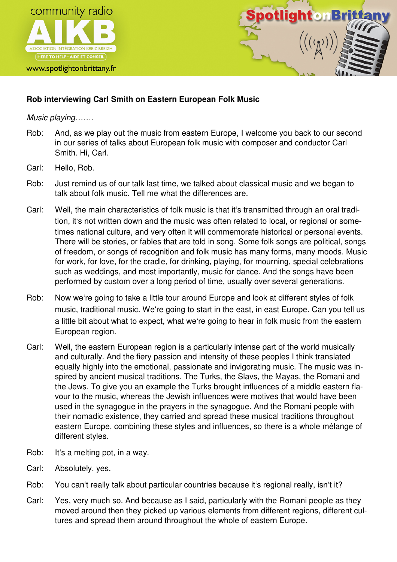

www.spotlightonbrittany.fr



# **Rob interviewing Carl Smith on Eastern European Folk Music**

Music playing…….

- Rob: And, as we play out the music from eastern Europe, I welcome you back to our second in our series of talks about European folk music with composer and conductor Carl Smith. Hi, Carl.
- Carl: Hello, Rob.
- Rob: Just remind us of our talk last time, we talked about classical music and we began to talk about folk music. Tell me what the differences are.
- Carl: Well, the main characteristics of folk music is that it's transmitted through an oral tradition, it's not written down and the music was often related to local, or regional or sometimes national culture, and very often it will commemorate historical or personal events. There will be stories, or fables that are told in song. Some folk songs are political, songs of freedom, or songs of recognition and folk music has many forms, many moods. Music for work, for love, for the cradle, for drinking, playing, for mourning, special celebrations such as weddings, and most importantly, music for dance. And the songs have been performed by custom over a long period of time, usually over several generations.
- Rob: Now we're going to take a little tour around Europe and look at different styles of folk music, traditional music. We're going to start in the east, in east Europe. Can you tell us a little bit about what to expect, what we're going to hear in folk music from the eastern European region.
- Carl: Well, the eastern European region is a particularly intense part of the world musically and culturally. And the fiery passion and intensity of these peoples I think translated equally highly into the emotional, passionate and invigorating music. The music was inspired by ancient musical traditions. The Turks, the Slavs, the Mayas, the Romani and the Jews. To give you an example the Turks brought influences of a middle eastern flavour to the music, whereas the Jewish influences were motives that would have been used in the synagogue in the prayers in the synagogue. And the Romani people with their nomadic existence, they carried and spread these musical traditions throughout eastern Europe, combining these styles and influences, so there is a whole mélange of different styles.
- Rob: It's a melting pot, in a way.
- Carl: Absolutely, yes.
- Rob: You can't really talk about particular countries because it's regional really, isn't it?
- Carl: Yes, very much so. And because as I said, particularly with the Romani people as they moved around then they picked up various elements from different regions, different cultures and spread them around throughout the whole of eastern Europe.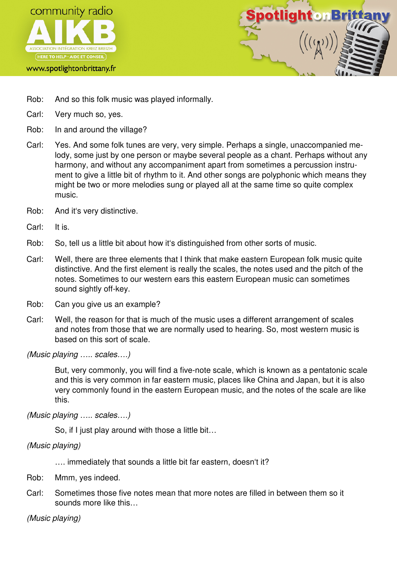



- Rob: And so this folk music was played informally.
- Carl: Very much so, yes.
- Rob: In and around the village?
- Carl: Yes. And some folk tunes are very, very simple. Perhaps a single, unaccompanied melody, some just by one person or maybe several people as a chant. Perhaps without any harmony, and without any accompaniment apart from sometimes a percussion instrument to give a little bit of rhythm to it. And other songs are polyphonic which means they might be two or more melodies sung or played all at the same time so quite complex music.
- Rob: And it's very distinctive.
- Carl: It is.
- Rob: So, tell us a little bit about how it's distinguished from other sorts of music.
- Carl: Well, there are three elements that I think that make eastern European folk music quite distinctive. And the first element is really the scales, the notes used and the pitch of the notes. Sometimes to our western ears this eastern European music can sometimes sound sightly off-key.
- Rob: Can you give us an example?
- Carl: Well, the reason for that is much of the music uses a different arrangement of scales and notes from those that we are normally used to hearing. So, most western music is based on this sort of scale.

(Music playing ….. scales….)

 But, very commonly, you will find a five-note scale, which is known as a pentatonic scale and this is very common in far eastern music, places like China and Japan, but it is also very commonly found in the eastern European music, and the notes of the scale are like this.

(Music playing ….. scales….)

So, if I just play around with those a little bit…

(Music playing)

…. immediately that sounds a little bit far eastern, doesn't it?

- Rob: Mmm, yes indeed.
- Carl: Sometimes those five notes mean that more notes are filled in between them so it sounds more like this…

(Music playing)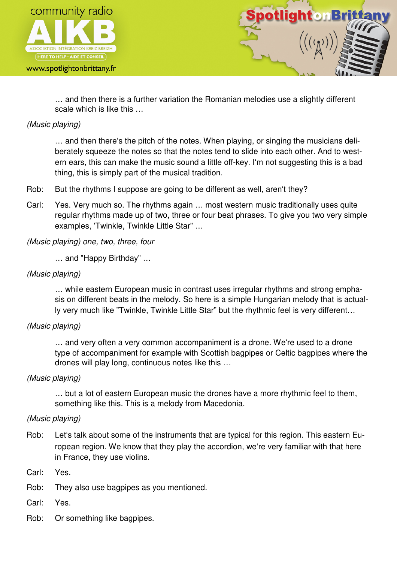

#### www.spotlightonbrittany.fr



 … and then there is a further variation the Romanian melodies use a slightly different scale which is like this …

## (Music playing)

 … and then there's the pitch of the notes. When playing, or singing the musicians deliberately squeeze the notes so that the notes tend to slide into each other. And to western ears, this can make the music sound a little off-key. I'm not suggesting this is a bad thing, this is simply part of the musical tradition.

- Rob: But the rhythms I suppose are going to be different as well, aren't they?
- Carl: Yes. Very much so. The rhythms again … most western music traditionally uses quite regular rhythms made up of two, three or four beat phrases. To give you two very simple examples, 'Twinkle, Twinkle Little Star" …

(Music playing) one, two, three, four

… and "Happy Birthday" …

### (Music playing)

 … while eastern European music in contrast uses irregular rhythms and strong emphasis on different beats in the melody. So here is a simple Hungarian melody that is actually very much like "Twinkle, Twinkle Little Star" but the rhythmic feel is very different…

### (Music playing)

 … and very often a very common accompaniment is a drone. We're used to a drone type of accompaniment for example with Scottish bagpipes or Celtic bagpipes where the drones will play long, continuous notes like this …

### (Music playing)

 … but a lot of eastern European music the drones have a more rhythmic feel to them, something like this. This is a melody from Macedonia.

### (Music playing)

- Rob: Let's talk about some of the instruments that are typical for this region. This eastern European region. We know that they play the accordion, we're very familiar with that here in France, they use violins.
- Carl: Yes.
- Rob: They also use bagpipes as you mentioned.
- Carl: Yes.
- Rob: Or something like bagpipes.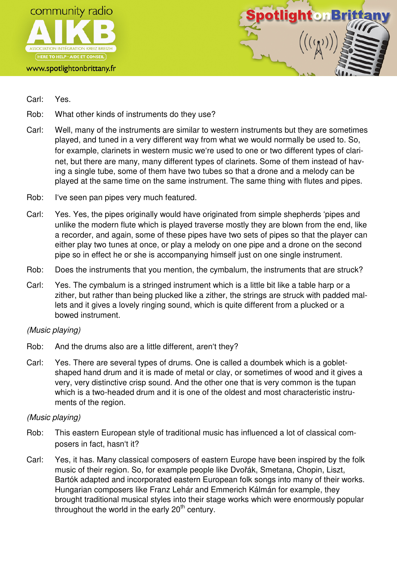

#### www.spotlightonbrittany.fr



- Carl: Yes.
- Rob: What other kinds of instruments do they use?
- Carl: Well, many of the instruments are similar to western instruments but they are sometimes played, and tuned in a very different way from what we would normally be used to. So, for example, clarinets in western music we're used to one or two different types of clarinet, but there are many, many different types of clarinets. Some of them instead of having a single tube, some of them have two tubes so that a drone and a melody can be played at the same time on the same instrument. The same thing with flutes and pipes.
- Rob: I've seen pan pipes very much featured.
- Carl: Yes. Yes, the pipes originally would have originated from simple shepherds 'pipes and unlike the modern flute which is played traverse mostly they are blown from the end, like a recorder, and again, some of these pipes have two sets of pipes so that the player can either play two tunes at once, or play a melody on one pipe and a drone on the second pipe so in effect he or she is accompanying himself just on one single instrument.
- Rob: Does the instruments that you mention, the cymbalum, the instruments that are struck?
- Carl: Yes. The cymbalum is a stringed instrument which is a little bit like a table harp or a zither, but rather than being plucked like a zither, the strings are struck with padded mallets and it gives a lovely ringing sound, which is quite different from a plucked or a bowed instrument.

### (Music playing)

- Rob: And the drums also are a little different, aren't they?
- Carl: Yes. There are several types of drums. One is called a doumbek which is a gobletshaped hand drum and it is made of metal or clay, or sometimes of wood and it gives a very, very distinctive crisp sound. And the other one that is very common is the tupan which is a two-headed drum and it is one of the oldest and most characteristic instruments of the region.

### (Music playing)

- Rob: This eastern European style of traditional music has influenced a lot of classical composers in fact, hasn't it?
- Carl: Yes, it has. Many classical composers of eastern Europe have been inspired by the folk music of their region. So, for example people like Dvořák, Smetana, Chopin, Liszt, Bartók adapted and incorporated eastern European folk songs into many of their works. Hungarian composers like Franz Lehár and Emmerich Kálmán for example, they brought traditional musical styles into their stage works which were enormously popular throughout the world in the early  $20<sup>th</sup>$  century.